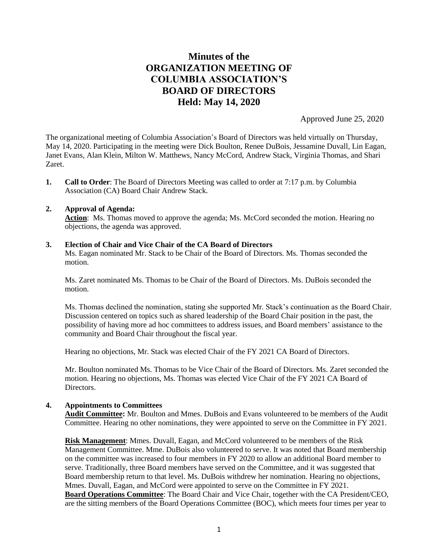# **Minutes of the ORGANIZATION MEETING OF COLUMBIA ASSOCIATION'S BOARD OF DIRECTORS Held: May 14, 2020**

Approved June 25, 2020

The organizational meeting of Columbia Association's Board of Directors was held virtually on Thursday, May 14, 2020. Participating in the meeting were Dick Boulton, Renee DuBois, Jessamine Duvall, Lin Eagan, Janet Evans, Alan Klein, Milton W. Matthews, Nancy McCord, Andrew Stack, Virginia Thomas, and Shari Zaret.

**1. Call to Order**: The Board of Directors Meeting was called to order at 7:17 p.m. by Columbia Association (CA) Board Chair Andrew Stack.

## **2. Approval of Agenda:**

Action: Ms. Thomas moved to approve the agenda; Ms. McCord seconded the motion. Hearing no objections, the agenda was approved.

## **3. Election of Chair and Vice Chair of the CA Board of Directors**

Ms. Eagan nominated Mr. Stack to be Chair of the Board of Directors. Ms. Thomas seconded the motion.

Ms. Zaret nominated Ms. Thomas to be Chair of the Board of Directors. Ms. DuBois seconded the motion.

Ms. Thomas declined the nomination, stating she supported Mr. Stack's continuation as the Board Chair. Discussion centered on topics such as shared leadership of the Board Chair position in the past, the possibility of having more ad hoc committees to address issues, and Board members' assistance to the community and Board Chair throughout the fiscal year.

Hearing no objections, Mr. Stack was elected Chair of the FY 2021 CA Board of Directors.

Mr. Boulton nominated Ms. Thomas to be Vice Chair of the Board of Directors. Ms. Zaret seconded the motion. Hearing no objections, Ms. Thomas was elected Vice Chair of the FY 2021 CA Board of Directors.

# **4. Appointments to Committees**

**Audit Committee:** Mr. Boulton and Mmes. DuBois and Evans volunteered to be members of the Audit Committee. Hearing no other nominations, they were appointed to serve on the Committee in FY 2021.

**Risk Management**: Mmes. Duvall, Eagan, and McCord volunteered to be members of the Risk Management Committee. Mme. DuBois also volunteered to serve. It was noted that Board membership on the committee was increased to four members in FY 2020 to allow an additional Board member to serve. Traditionally, three Board members have served on the Committee, and it was suggested that Board membership return to that level. Ms. DuBois withdrew her nomination. Hearing no objections, Mmes. Duvall, Eagan, and McCord were appointed to serve on the Committee in FY 2021. **Board Operations Committee**: The Board Chair and Vice Chair, together with the CA President/CEO, are the sitting members of the Board Operations Committee (BOC), which meets four times per year to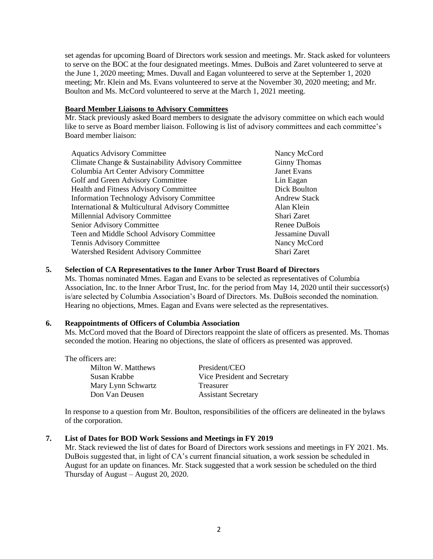set agendas for upcoming Board of Directors work session and meetings. Mr. Stack asked for volunteers to serve on the BOC at the four designated meetings. Mmes. DuBois and Zaret volunteered to serve at the June 1, 2020 meeting; Mmes. Duvall and Eagan volunteered to serve at the September 1, 2020 meeting; Mr. Klein and Ms. Evans volunteered to serve at the November 30, 2020 meeting; and Mr. Boulton and Ms. McCord volunteered to serve at the March 1, 2021 meeting.

#### **Board Member Liaisons to Advisory Committees**

Mr. Stack previously asked Board members to designate the advisory committee on which each would like to serve as Board member liaison. Following is list of advisory committees and each committee's Board member liaison:

| <b>Aquatics Advisory Committee</b>                 | Nancy McCord        |
|----------------------------------------------------|---------------------|
| Climate Change & Sustainability Advisory Committee | <b>Ginny Thomas</b> |
| Columbia Art Center Advisory Committee             | <b>Janet Evans</b>  |
| Golf and Green Advisory Committee                  | Lin Eagan           |
| Health and Fitness Advisory Committee              | Dick Boulton        |
| <b>Information Technology Advisory Committee</b>   | <b>Andrew Stack</b> |
| International & Multicultural Advisory Committee   | Alan Klein          |
| Millennial Advisory Committee                      | Shari Zaret         |
| Senior Advisory Committee                          | Renee DuBois        |
| Teen and Middle School Advisory Committee          | Jessamine Duvall    |
| Tennis Advisory Committee                          | Nancy McCord        |
| Watershed Resident Advisory Committee              | Shari Zaret         |

# **5. Selection of CA Representatives to the Inner Arbor Trust Board of Directors**

Ms. Thomas nominated Mmes. Eagan and Evans to be selected as representatives of Columbia Association, Inc. to the Inner Arbor Trust, Inc. for the period from May 14, 2020 until their successor(s) is/are selected by Columbia Association's Board of Directors. Ms. DuBois seconded the nomination. Hearing no objections, Mmes. Eagan and Evans were selected as the representatives.

# **6. Reappointments of Officers of Columbia Association**

Ms. McCord moved that the Board of Directors reappoint the slate of officers as presented. Ms. Thomas seconded the motion. Hearing no objections, the slate of officers as presented was approved.

The officers are: Milton W. Matthews President/CEO Mary Lynn Schwartz Treasurer Don Van Deusen Assistant Secretary

Susan Krabbe Vice President and Secretary

In response to a question from Mr. Boulton, responsibilities of the officers are delineated in the bylaws of the corporation.

# **7. List of Dates for BOD Work Sessions and Meetings in FY 2019**

Mr. Stack reviewed the list of dates for Board of Directors work sessions and meetings in FY 2021. Ms. DuBois suggested that, in light of CA's current financial situation, a work session be scheduled in August for an update on finances. Mr. Stack suggested that a work session be scheduled on the third Thursday of August – August 20, 2020.